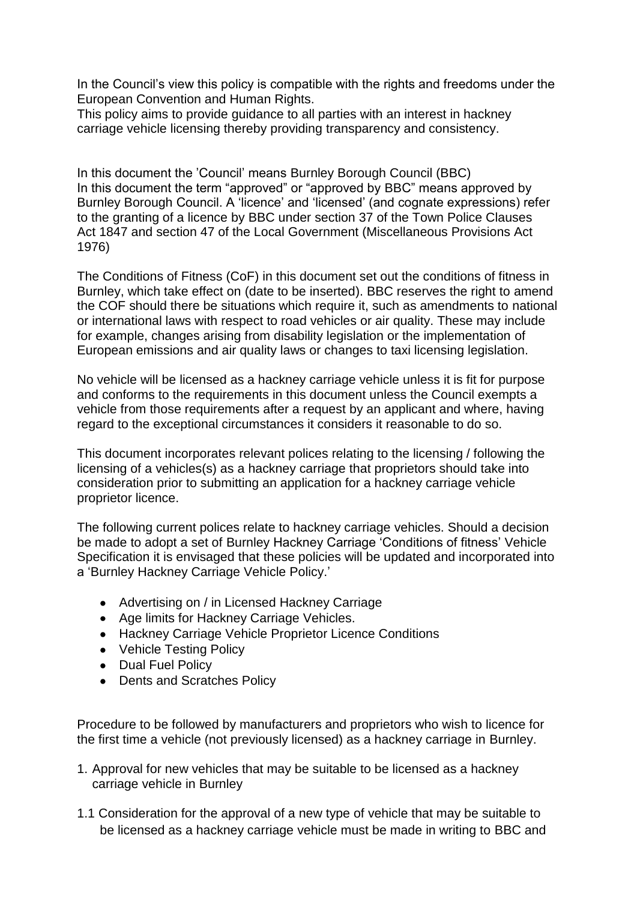In the Council's view this policy is compatible with the rights and freedoms under the European Convention and Human Rights.

This policy aims to provide guidance to all parties with an interest in hackney carriage vehicle licensing thereby providing transparency and consistency.

In this document the 'Council' means Burnley Borough Council (BBC) In this document the term "approved" or "approved by BBC" means approved by Burnley Borough Council. A 'licence' and 'licensed' (and cognate expressions) refer to the granting of a licence by BBC under section 37 of the Town Police Clauses Act 1847 and section 47 of the Local Government (Miscellaneous Provisions Act 1976)

The Conditions of Fitness (CoF) in this document set out the conditions of fitness in Burnley, which take effect on (date to be inserted). BBC reserves the right to amend the COF should there be situations which require it, such as amendments to national or international laws with respect to road vehicles or air quality. These may include for example, changes arising from disability legislation or the implementation of European emissions and air quality laws or changes to taxi licensing legislation.

No vehicle will be licensed as a hackney carriage vehicle unless it is fit for purpose and conforms to the requirements in this document unless the Council exempts a vehicle from those requirements after a request by an applicant and where, having regard to the exceptional circumstances it considers it reasonable to do so.

This document incorporates relevant polices relating to the licensing / following the licensing of a vehicles(s) as a hackney carriage that proprietors should take into consideration prior to submitting an application for a hackney carriage vehicle proprietor licence.

The following current polices relate to hackney carriage vehicles. Should a decision be made to adopt a set of Burnley Hackney Carriage 'Conditions of fitness' Vehicle Specification it is envisaged that these policies will be updated and incorporated into a 'Burnley Hackney Carriage Vehicle Policy.'

- Advertising on / in Licensed Hackney Carriage
- Age limits for Hackney Carriage Vehicles.
- Hackney Carriage Vehicle Proprietor Licence Conditions
- Vehicle Testing Policy
- Dual Fuel Policy
- Dents and Scratches Policy

Procedure to be followed by manufacturers and proprietors who wish to licence for the first time a vehicle (not previously licensed) as a hackney carriage in Burnley.

- 1. Approval for new vehicles that may be suitable to be licensed as a hackney carriage vehicle in Burnley
- 1.1 Consideration for the approval of a new type of vehicle that may be suitable to be licensed as a hackney carriage vehicle must be made in writing to BBC and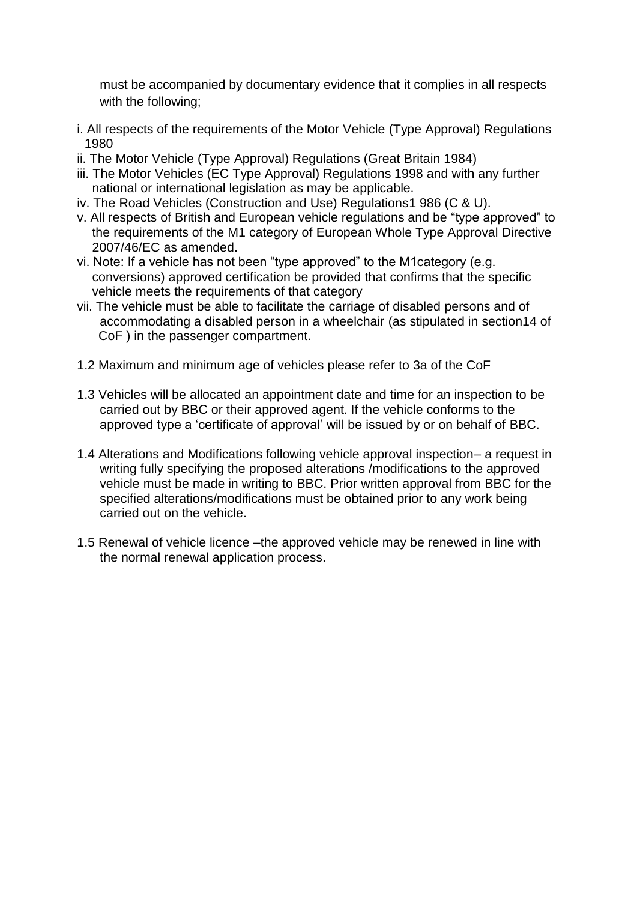must be accompanied by documentary evidence that it complies in all respects with the following;

- i. All respects of the requirements of the Motor Vehicle (Type Approval) Regulations 1980
- ii. The Motor Vehicle (Type Approval) Regulations (Great Britain 1984)
- iii. The Motor Vehicles (EC Type Approval) Regulations 1998 and with any further national or international legislation as may be applicable.
- iv. The Road Vehicles (Construction and Use) Regulations1 986 (C & U).
- v. All respects of British and European vehicle regulations and be "type approved" to the requirements of the M1 category of European Whole Type Approval Directive 2007/46/EC as amended.
- vi. Note: If a vehicle has not been "type approved" to the M1category (e.g. conversions) approved certification be provided that confirms that the specific vehicle meets the requirements of that category
- vii. The vehicle must be able to facilitate the carriage of disabled persons and of accommodating a disabled person in a wheelchair (as stipulated in section14 of CoF ) in the passenger compartment.
- 1.2 Maximum and minimum age of vehicles please refer to 3a of the CoF
- 1.3 Vehicles will be allocated an appointment date and time for an inspection to be carried out by BBC or their approved agent. If the vehicle conforms to the approved type a 'certificate of approval' will be issued by or on behalf of BBC.
- 1.4 Alterations and Modifications following vehicle approval inspection– a request in writing fully specifying the proposed alterations /modifications to the approved vehicle must be made in writing to BBC. Prior written approval from BBC for the specified alterations/modifications must be obtained prior to any work being carried out on the vehicle.
- 1.5 Renewal of vehicle licence –the approved vehicle may be renewed in line with the normal renewal application process.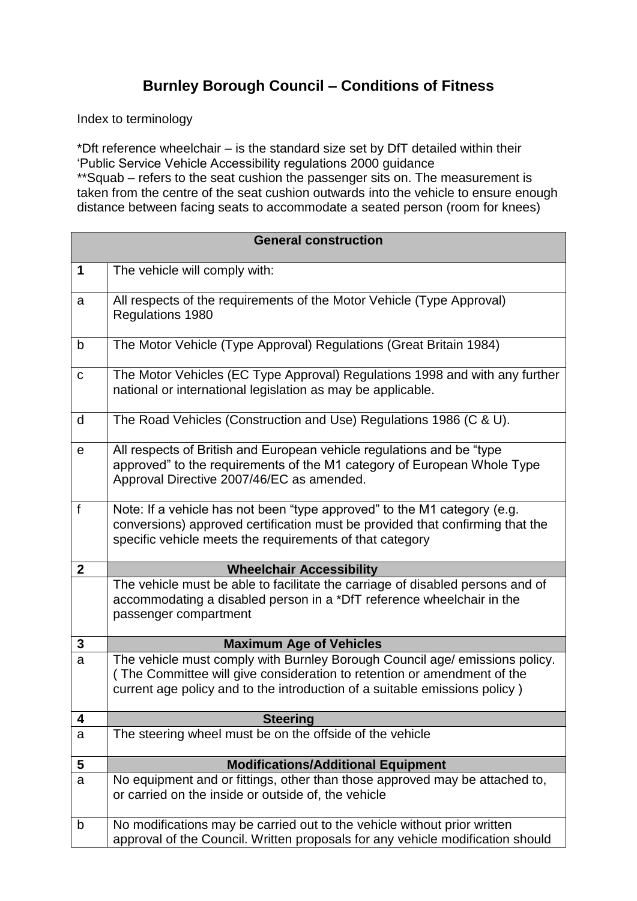## **Burnley Borough Council – Conditions of Fitness**

Index to terminology

\*Dft reference wheelchair – is the standard size set by DfT detailed within their 'Public Service Vehicle Accessibility regulations 2000 guidance \*\*Squab – refers to the seat cushion the passenger sits on. The measurement is taken from the centre of the seat cushion outwards into the vehicle to ensure enough distance between facing seats to accommodate a seated person (room for knees)

| <b>General construction</b> |                                                                                                                                                                                                                                      |  |
|-----------------------------|--------------------------------------------------------------------------------------------------------------------------------------------------------------------------------------------------------------------------------------|--|
| 1                           | The vehicle will comply with:                                                                                                                                                                                                        |  |
| a                           | All respects of the requirements of the Motor Vehicle (Type Approval)<br>Regulations 1980                                                                                                                                            |  |
| b                           | The Motor Vehicle (Type Approval) Regulations (Great Britain 1984)                                                                                                                                                                   |  |
| $\mathbf C$                 | The Motor Vehicles (EC Type Approval) Regulations 1998 and with any further<br>national or international legislation as may be applicable.                                                                                           |  |
| d                           | The Road Vehicles (Construction and Use) Regulations 1986 (C & U).                                                                                                                                                                   |  |
| $\mathbf e$                 | All respects of British and European vehicle regulations and be "type<br>approved" to the requirements of the M1 category of European Whole Type<br>Approval Directive 2007/46/EC as amended.                                        |  |
| $\mathsf{f}$                | Note: If a vehicle has not been "type approved" to the M1 category (e.g.<br>conversions) approved certification must be provided that confirming that the<br>specific vehicle meets the requirements of that category                |  |
| $\overline{2}$              | <b>Wheelchair Accessibility</b>                                                                                                                                                                                                      |  |
|                             | The vehicle must be able to facilitate the carriage of disabled persons and of<br>accommodating a disabled person in a *DfT reference wheelchair in the<br>passenger compartment                                                     |  |
| 3                           | <b>Maximum Age of Vehicles</b>                                                                                                                                                                                                       |  |
| a                           | The vehicle must comply with Burnley Borough Council age/ emissions policy.<br>(The Committee will give consideration to retention or amendment of the<br>current age policy and to the introduction of a suitable emissions policy) |  |
| 4                           | <b>Steering</b>                                                                                                                                                                                                                      |  |
| a                           | The steering wheel must be on the offside of the vehicle                                                                                                                                                                             |  |
| 5                           | <b>Modifications/Additional Equipment</b>                                                                                                                                                                                            |  |
| a                           | No equipment and or fittings, other than those approved may be attached to,<br>or carried on the inside or outside of, the vehicle                                                                                                   |  |
| b                           | No modifications may be carried out to the vehicle without prior written<br>approval of the Council. Written proposals for any vehicle modification should                                                                           |  |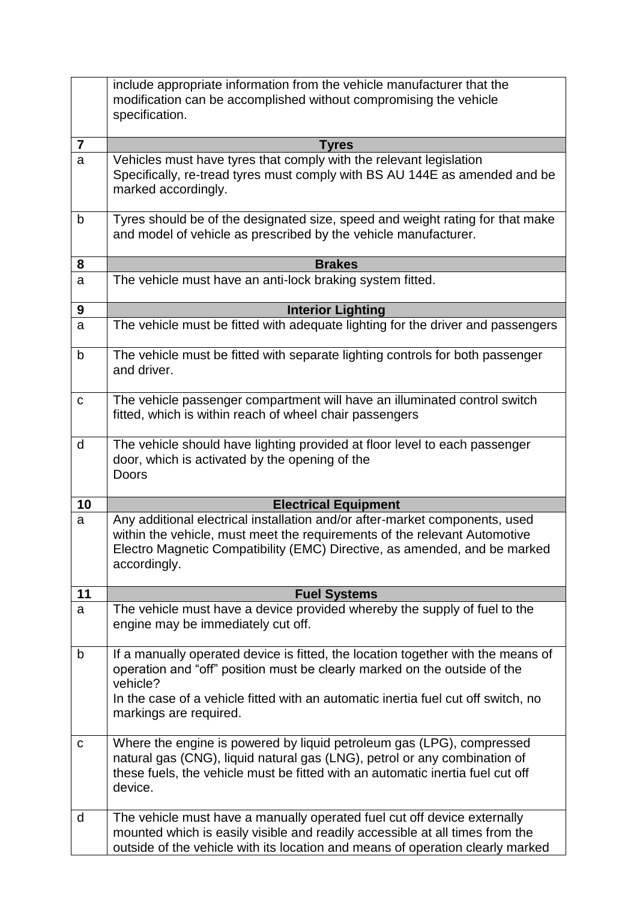|                | include appropriate information from the vehicle manufacturer that the<br>modification can be accomplished without compromising the vehicle<br>specification.                                                                                                                            |
|----------------|------------------------------------------------------------------------------------------------------------------------------------------------------------------------------------------------------------------------------------------------------------------------------------------|
| $\overline{7}$ | <b>Tyres</b>                                                                                                                                                                                                                                                                             |
| a              | Vehicles must have tyres that comply with the relevant legislation<br>Specifically, re-tread tyres must comply with BS AU 144E as amended and be<br>marked accordingly.                                                                                                                  |
| $\mathsf b$    | Tyres should be of the designated size, speed and weight rating for that make<br>and model of vehicle as prescribed by the vehicle manufacturer.                                                                                                                                         |
| 8              | <b>Brakes</b>                                                                                                                                                                                                                                                                            |
| a              | The vehicle must have an anti-lock braking system fitted.                                                                                                                                                                                                                                |
| 9              | <b>Interior Lighting</b>                                                                                                                                                                                                                                                                 |
| a              | The vehicle must be fitted with adequate lighting for the driver and passengers                                                                                                                                                                                                          |
| b              | The vehicle must be fitted with separate lighting controls for both passenger<br>and driver.                                                                                                                                                                                             |
| $\mathbf C$    | The vehicle passenger compartment will have an illuminated control switch<br>fitted, which is within reach of wheel chair passengers                                                                                                                                                     |
| d              | The vehicle should have lighting provided at floor level to each passenger<br>door, which is activated by the opening of the<br>Doors                                                                                                                                                    |
| 10             | <b>Electrical Equipment</b>                                                                                                                                                                                                                                                              |
| a              | Any additional electrical installation and/or after-market components, used<br>within the vehicle, must meet the requirements of the relevant Automotive<br>Electro Magnetic Compatibility (EMC) Directive, as amended, and be marked<br>accordingly.                                    |
| 11             | <b>Fuel Systems</b>                                                                                                                                                                                                                                                                      |
| a              | The vehicle must have a device provided whereby the supply of fuel to the<br>engine may be immediately cut off.                                                                                                                                                                          |
| $\mathsf b$    | If a manually operated device is fitted, the location together with the means of<br>operation and "off" position must be clearly marked on the outside of the<br>vehicle?<br>In the case of a vehicle fitted with an automatic inertia fuel cut off switch, no<br>markings are required. |
| $\mathbf C$    | Where the engine is powered by liquid petroleum gas (LPG), compressed<br>natural gas (CNG), liquid natural gas (LNG), petrol or any combination of<br>these fuels, the vehicle must be fitted with an automatic inertia fuel cut off<br>device.                                          |
| d              | The vehicle must have a manually operated fuel cut off device externally<br>mounted which is easily visible and readily accessible at all times from the<br>outside of the vehicle with its location and means of operation clearly marked                                               |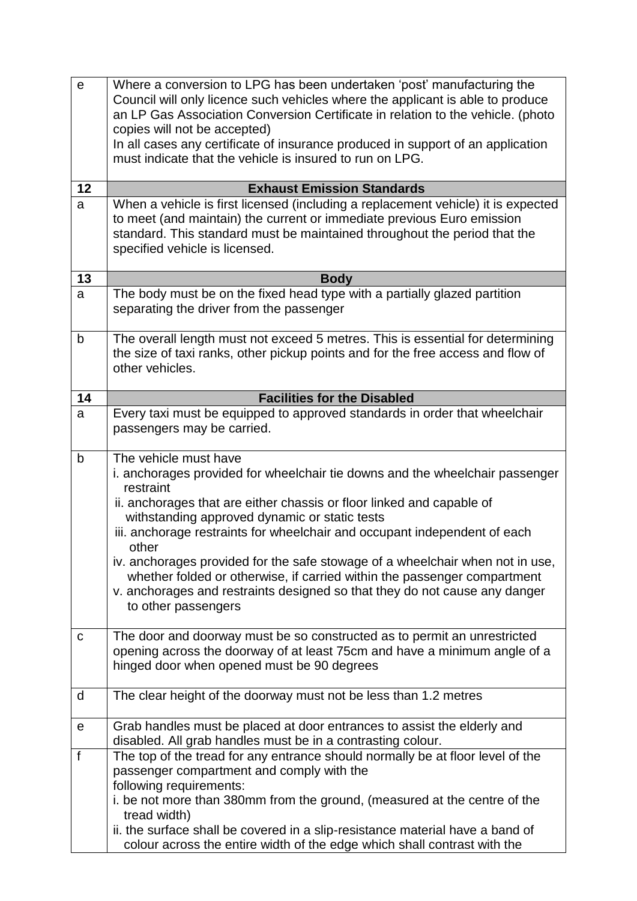| $\mathbf e$  | Where a conversion to LPG has been undertaken 'post' manufacturing the                                                                                            |
|--------------|-------------------------------------------------------------------------------------------------------------------------------------------------------------------|
|              | Council will only licence such vehicles where the applicant is able to produce<br>an LP Gas Association Conversion Certificate in relation to the vehicle. (photo |
|              | copies will not be accepted)                                                                                                                                      |
|              | In all cases any certificate of insurance produced in support of an application                                                                                   |
|              | must indicate that the vehicle is insured to run on LPG.                                                                                                          |
| 12           | <b>Exhaust Emission Standards</b>                                                                                                                                 |
| a            | When a vehicle is first licensed (including a replacement vehicle) it is expected                                                                                 |
|              | to meet (and maintain) the current or immediate previous Euro emission<br>standard. This standard must be maintained throughout the period that the               |
|              | specified vehicle is licensed.                                                                                                                                    |
|              |                                                                                                                                                                   |
| 13           | <b>Body</b>                                                                                                                                                       |
| a            | The body must be on the fixed head type with a partially glazed partition<br>separating the driver from the passenger                                             |
| b            | The overall length must not exceed 5 metres. This is essential for determining                                                                                    |
|              | the size of taxi ranks, other pickup points and for the free access and flow of                                                                                   |
|              | other vehicles.                                                                                                                                                   |
| 14           | <b>Facilities for the Disabled</b>                                                                                                                                |
| a            | Every taxi must be equipped to approved standards in order that wheelchair                                                                                        |
|              | passengers may be carried.                                                                                                                                        |
| $\mathsf b$  | The vehicle must have                                                                                                                                             |
|              | i. anchorages provided for wheelchair tie downs and the wheelchair passenger<br>restraint                                                                         |
|              | ii. anchorages that are either chassis or floor linked and capable of                                                                                             |
|              | withstanding approved dynamic or static tests                                                                                                                     |
|              | iii. anchorage restraints for wheelchair and occupant independent of each<br>other                                                                                |
|              | iv. anchorages provided for the safe stowage of a wheelchair when not in use,                                                                                     |
|              | whether folded or otherwise, if carried within the passenger compartment                                                                                          |
|              | v. anchorages and restraints designed so that they do not cause any danger                                                                                        |
|              | to other passengers                                                                                                                                               |
| $\mathbf C$  | The door and doorway must be so constructed as to permit an unrestricted                                                                                          |
|              | opening across the doorway of at least 75cm and have a minimum angle of a                                                                                         |
|              | hinged door when opened must be 90 degrees                                                                                                                        |
|              |                                                                                                                                                                   |
| d            | The clear height of the doorway must not be less than 1.2 metres                                                                                                  |
| e            | Grab handles must be placed at door entrances to assist the elderly and                                                                                           |
|              | disabled. All grab handles must be in a contrasting colour.                                                                                                       |
| $\mathsf{f}$ | The top of the tread for any entrance should normally be at floor level of the                                                                                    |
|              | passenger compartment and comply with the                                                                                                                         |
|              | following requirements:<br>i. be not more than 380mm from the ground, (measured at the centre of the                                                              |
|              | tread width)                                                                                                                                                      |
|              | ii. the surface shall be covered in a slip-resistance material have a band of                                                                                     |
|              | colour across the entire width of the edge which shall contrast with the                                                                                          |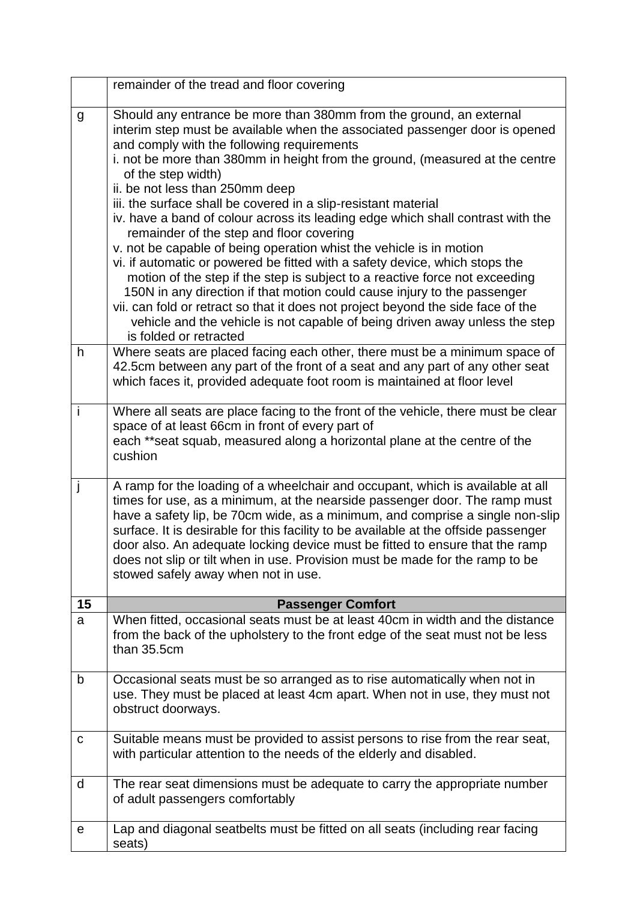|    | remainder of the tread and floor covering                                                                                                                                                                                                                                                                                                                                                                                                                                                                                                                                                                                                                                                                                                                                                                                                                                                                                                                                                                                                                |
|----|----------------------------------------------------------------------------------------------------------------------------------------------------------------------------------------------------------------------------------------------------------------------------------------------------------------------------------------------------------------------------------------------------------------------------------------------------------------------------------------------------------------------------------------------------------------------------------------------------------------------------------------------------------------------------------------------------------------------------------------------------------------------------------------------------------------------------------------------------------------------------------------------------------------------------------------------------------------------------------------------------------------------------------------------------------|
| g  | Should any entrance be more than 380mm from the ground, an external<br>interim step must be available when the associated passenger door is opened<br>and comply with the following requirements<br>i. not be more than 380mm in height from the ground, (measured at the centre<br>of the step width)<br>ii. be not less than 250mm deep<br>iii. the surface shall be covered in a slip-resistant material<br>iv. have a band of colour across its leading edge which shall contrast with the<br>remainder of the step and floor covering<br>v. not be capable of being operation whist the vehicle is in motion<br>vi. if automatic or powered be fitted with a safety device, which stops the<br>motion of the step if the step is subject to a reactive force not exceeding<br>150N in any direction if that motion could cause injury to the passenger<br>vii. can fold or retract so that it does not project beyond the side face of the<br>vehicle and the vehicle is not capable of being driven away unless the step<br>is folded or retracted |
| h  | Where seats are placed facing each other, there must be a minimum space of<br>42.5cm between any part of the front of a seat and any part of any other seat<br>which faces it, provided adequate foot room is maintained at floor level                                                                                                                                                                                                                                                                                                                                                                                                                                                                                                                                                                                                                                                                                                                                                                                                                  |
| i  | Where all seats are place facing to the front of the vehicle, there must be clear<br>space of at least 66cm in front of every part of<br>each **seat squab, measured along a horizontal plane at the centre of the<br>cushion                                                                                                                                                                                                                                                                                                                                                                                                                                                                                                                                                                                                                                                                                                                                                                                                                            |
|    | A ramp for the loading of a wheelchair and occupant, which is available at all<br>times for use, as a minimum, at the nearside passenger door. The ramp must<br>have a safety lip, be 70cm wide, as a minimum, and comprise a single non-slip<br>surface. It is desirable for this facility to be available at the offside passenger<br>door also. An adequate locking device must be fitted to ensure that the ramp<br>does not slip or tilt when in use. Provision must be made for the ramp to be<br>stowed safely away when not in use.                                                                                                                                                                                                                                                                                                                                                                                                                                                                                                              |
| 15 | <b>Passenger Comfort</b>                                                                                                                                                                                                                                                                                                                                                                                                                                                                                                                                                                                                                                                                                                                                                                                                                                                                                                                                                                                                                                 |
| a  | When fitted, occasional seats must be at least 40cm in width and the distance<br>from the back of the upholstery to the front edge of the seat must not be less<br>than 35.5cm                                                                                                                                                                                                                                                                                                                                                                                                                                                                                                                                                                                                                                                                                                                                                                                                                                                                           |
| b  | Occasional seats must be so arranged as to rise automatically when not in<br>use. They must be placed at least 4cm apart. When not in use, they must not<br>obstruct doorways.                                                                                                                                                                                                                                                                                                                                                                                                                                                                                                                                                                                                                                                                                                                                                                                                                                                                           |
| C  | Suitable means must be provided to assist persons to rise from the rear seat,<br>with particular attention to the needs of the elderly and disabled.                                                                                                                                                                                                                                                                                                                                                                                                                                                                                                                                                                                                                                                                                                                                                                                                                                                                                                     |
| d  | The rear seat dimensions must be adequate to carry the appropriate number<br>of adult passengers comfortably                                                                                                                                                                                                                                                                                                                                                                                                                                                                                                                                                                                                                                                                                                                                                                                                                                                                                                                                             |
| е  | Lap and diagonal seatbelts must be fitted on all seats (including rear facing<br>seats)                                                                                                                                                                                                                                                                                                                                                                                                                                                                                                                                                                                                                                                                                                                                                                                                                                                                                                                                                                  |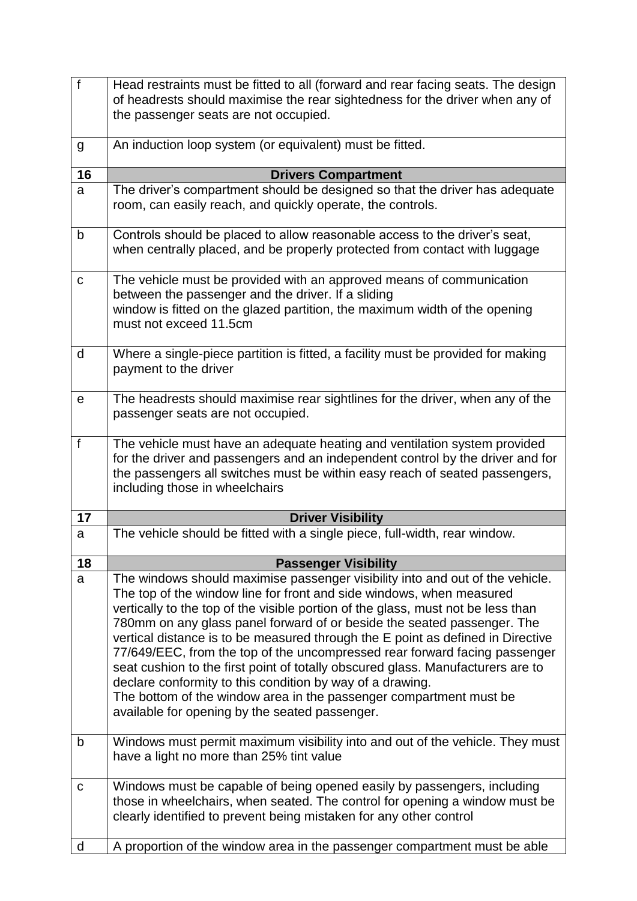| $\overline{f}$ | Head restraints must be fitted to all (forward and rear facing seats. The design<br>of headrests should maximise the rear sightedness for the driver when any of<br>the passenger seats are not occupied.                                                                                                                                                                                                                                                                                                                                                                                                                                                                                                                                                     |
|----------------|---------------------------------------------------------------------------------------------------------------------------------------------------------------------------------------------------------------------------------------------------------------------------------------------------------------------------------------------------------------------------------------------------------------------------------------------------------------------------------------------------------------------------------------------------------------------------------------------------------------------------------------------------------------------------------------------------------------------------------------------------------------|
| g              | An induction loop system (or equivalent) must be fitted.                                                                                                                                                                                                                                                                                                                                                                                                                                                                                                                                                                                                                                                                                                      |
| 16             | <b>Drivers Compartment</b>                                                                                                                                                                                                                                                                                                                                                                                                                                                                                                                                                                                                                                                                                                                                    |
| a              | The driver's compartment should be designed so that the driver has adequate<br>room, can easily reach, and quickly operate, the controls.                                                                                                                                                                                                                                                                                                                                                                                                                                                                                                                                                                                                                     |
| $\mathsf b$    | Controls should be placed to allow reasonable access to the driver's seat,<br>when centrally placed, and be properly protected from contact with luggage                                                                                                                                                                                                                                                                                                                                                                                                                                                                                                                                                                                                      |
| $\mathbf C$    | The vehicle must be provided with an approved means of communication<br>between the passenger and the driver. If a sliding<br>window is fitted on the glazed partition, the maximum width of the opening<br>must not exceed 11.5cm                                                                                                                                                                                                                                                                                                                                                                                                                                                                                                                            |
| d              | Where a single-piece partition is fitted, a facility must be provided for making<br>payment to the driver                                                                                                                                                                                                                                                                                                                                                                                                                                                                                                                                                                                                                                                     |
| е              | The headrests should maximise rear sightlines for the driver, when any of the<br>passenger seats are not occupied.                                                                                                                                                                                                                                                                                                                                                                                                                                                                                                                                                                                                                                            |
| $\mathsf f$    | The vehicle must have an adequate heating and ventilation system provided<br>for the driver and passengers and an independent control by the driver and for<br>the passengers all switches must be within easy reach of seated passengers,<br>including those in wheelchairs                                                                                                                                                                                                                                                                                                                                                                                                                                                                                  |
| 17             | <b>Driver Visibility</b>                                                                                                                                                                                                                                                                                                                                                                                                                                                                                                                                                                                                                                                                                                                                      |
| a              | The vehicle should be fitted with a single piece, full-width, rear window.                                                                                                                                                                                                                                                                                                                                                                                                                                                                                                                                                                                                                                                                                    |
| 18             | <b>Passenger Visibility</b>                                                                                                                                                                                                                                                                                                                                                                                                                                                                                                                                                                                                                                                                                                                                   |
| a              | The windows should maximise passenger visibility into and out of the vehicle.<br>The top of the window line for front and side windows, when measured<br>vertically to the top of the visible portion of the glass, must not be less than<br>780mm on any glass panel forward of or beside the seated passenger. The<br>vertical distance is to be measured through the E point as defined in Directive<br>77/649/EEC, from the top of the uncompressed rear forward facing passenger<br>seat cushion to the first point of totally obscured glass. Manufacturers are to<br>declare conformity to this condition by way of a drawing.<br>The bottom of the window area in the passenger compartment must be<br>available for opening by the seated passenger. |
| $\mathsf b$    | Windows must permit maximum visibility into and out of the vehicle. They must<br>have a light no more than 25% tint value                                                                                                                                                                                                                                                                                                                                                                                                                                                                                                                                                                                                                                     |
| $\mathbf C$    |                                                                                                                                                                                                                                                                                                                                                                                                                                                                                                                                                                                                                                                                                                                                                               |
|                | Windows must be capable of being opened easily by passengers, including<br>those in wheelchairs, when seated. The control for opening a window must be<br>clearly identified to prevent being mistaken for any other control                                                                                                                                                                                                                                                                                                                                                                                                                                                                                                                                  |